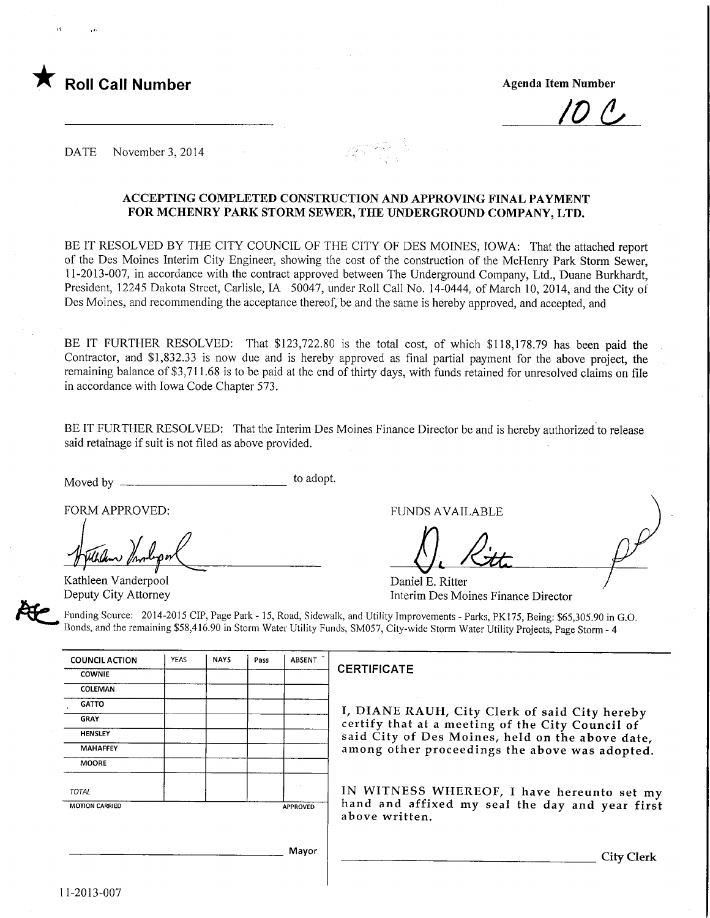

/0(^

DATE November 3, 2014

### ACCEPTING COMPLETED CONSTRUCTION AND APPROVING FINAL PAYMENT FOR MCHENRY PARK STORM SEWER, THE UNDERGROUND COMPANY, LTD.

BE IT RESOLVED BY THE CITY COUNCIL OF THE CITY OF DES MOINES, IOWA: That the attached report of the Des Moines Interim City Engineer, showing the cost of the construction of the McHenry Park Storm Sewer, 11-2013-007, in accordance with the contract approved between The Underground Company, Ltd., Duane Burkhardt, President, 12245 Dakota Street, Carlisle, IA 50047, under Roll Call No. 14-0444, of March 10, 2014, and the City of Des Moines, and recommending the acceptance thereof, be and the same is hereby approved, and accepted, and

BE IT FURTHER RESOLVED: That \$123,722.80 is the total cost, of which \$118,178.79 has been paid the Contractor, and \$1,832.33 is now due and is hereby approved as final partial payment for the above project, the remaining balance of \$3,711.68 is to be paid at the end of thirty days, with funds retained for unresolved claims on file in accordance with Iowa Code Chapter 573.

BE IT FURTHER RESOLVED: That the Interim Des Moines Finance Director be and is hereby authorized to release said retainage if suit is not filed as above provided.

Moved by to adopt.

FORM APPROVED:

Kathleen Vanderpool Deputy City Attorney

11-2013-007

FUNDS AVAILABLE

/).A.

Daniel E. Ritter Interim Des Moines Finance Director

Funding Source: 2014-2015 CIP, Page Park - 15, Road, Sidewalk, and Utility Improvements - Parks, PK175, Being: \$65,305.90 in G.O. Bonds, and the remaining \$58,416.90 in Storm Water Utility Funds, SM057, City-wide Storm Water Utility Projects, Page Storm - 4

| <b>COUNCIL ACTION</b> | <b>YEAS</b> | <b>NAYS</b> | Pass | <b>ABSENT</b>   |                                                                   |
|-----------------------|-------------|-------------|------|-----------------|-------------------------------------------------------------------|
| <b>COWNIE</b>         |             |             |      |                 | <b>CERTIFICATE</b>                                                |
| <b>COLEMAN</b>        |             |             |      |                 |                                                                   |
| <b>GATTO</b>          |             |             |      |                 | I, DIANE RAUH, City Clerk of said City hereby                     |
| <b>GRAY</b>           |             |             |      |                 | certify that at a meeting of the City Council of                  |
| <b>HENSLEY</b>        |             |             |      |                 | said City of Des Moines, held on the above date,                  |
| <b>MAHAFFEY</b>       |             |             |      |                 | among other proceedings the above was adopted.                    |
| <b>MOORE</b>          |             |             |      |                 |                                                                   |
| <b>TOTAL</b>          |             |             |      |                 | IN WITNESS WHEREOF, I have hereunto set my                        |
| <b>MOTION CARRIED</b> |             |             |      | <b>APPROVED</b> | hand and affixed my seal the day and year first<br>above written. |
|                       |             |             |      | Mayor           | City Clerk                                                        |
|                       |             |             |      |                 |                                                                   |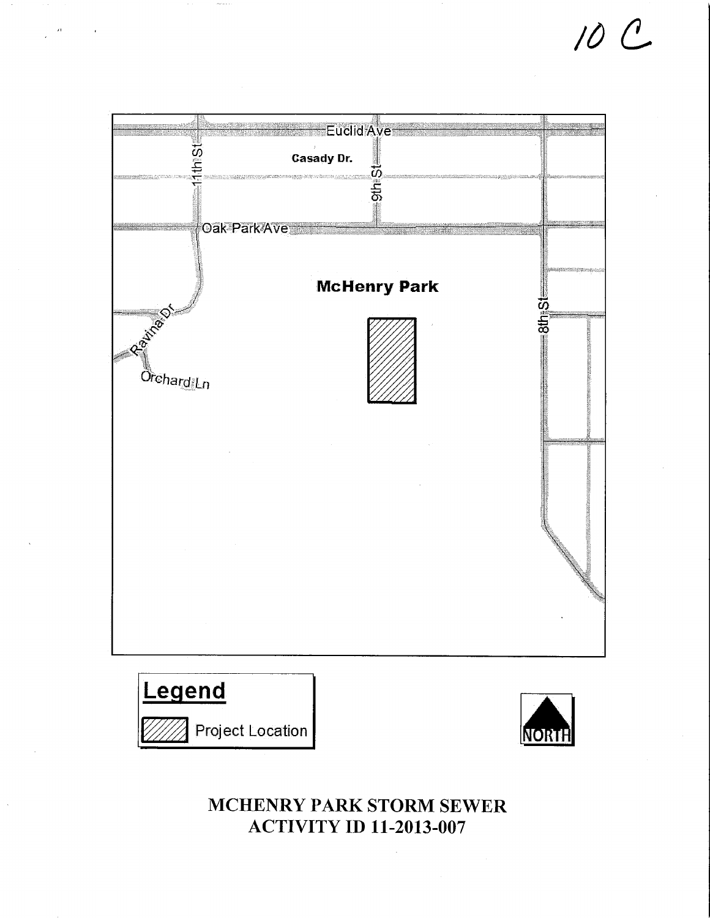# Euclid Ave **Sid Casady Dr. SHLSH** ∤oak Park⁄Ave **McHenry Park REATAIN ISthiste** े<br>Orchar<u>d</u>iLn





10 C

# MCHENRY PARK STORM SEWER **ACTIVITY ID 11-2013-007**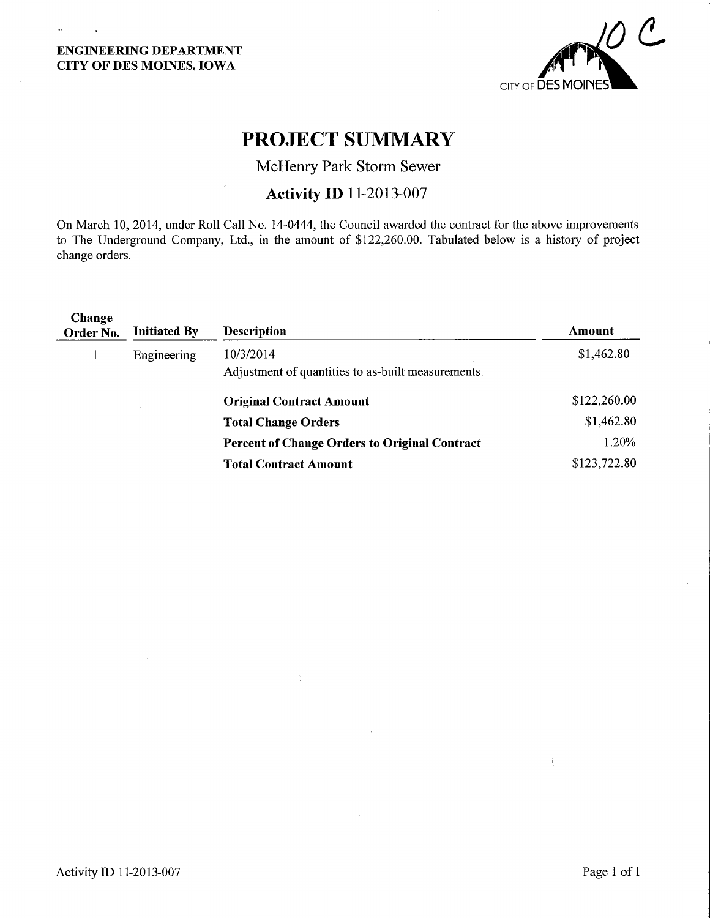$\alpha$ 



# PROJECT SUMMARY

McHenry Park Storm Sewer

# Activity ID 11-2013-007

On March 10, 2014, under Roll Call No. 14-0444, the Council awarded the contract for the above improvements to The Underground Company, Ltd., in the amount of \$122,260.00. Tabulated below is a history of project change orders.

| Change<br>Order No. | <b>Initiated By</b> | <b>Description</b>                                   | Amount       |  |
|---------------------|---------------------|------------------------------------------------------|--------------|--|
|                     | Engineering         | 10/3/2014                                            | \$1,462.80   |  |
|                     |                     | Adjustment of quantities to as-built measurements.   |              |  |
|                     |                     | <b>Original Contract Amount</b>                      | \$122,260.00 |  |
|                     |                     | <b>Total Change Orders</b>                           | \$1,462.80   |  |
|                     |                     | <b>Percent of Change Orders to Original Contract</b> | 1.20%        |  |
|                     |                     | <b>Total Contract Amount</b>                         | \$123,722.80 |  |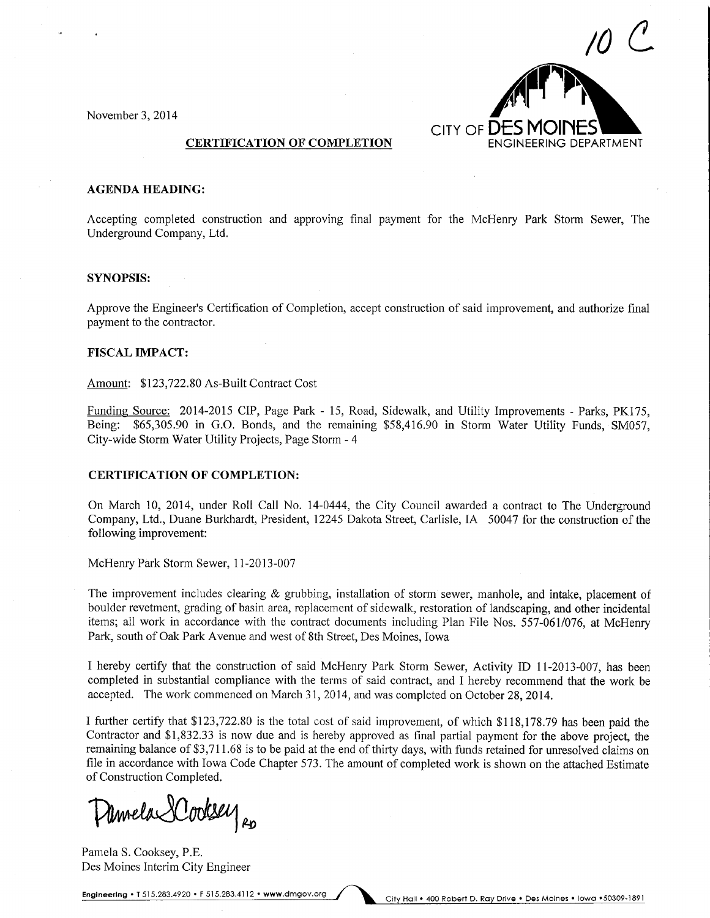

November 3, 2014

#### **CERTIFICATION OF COMPLETION**

#### **AGENDA HEADING:**

Accepting completed construction and approving final payment for the McHenry Park Storm Sewer, The Underground Company, Ltd.

#### SYNOPSIS:

Approve the Engineer's Certification of Completion, accept construction of said improvement, and authorize final payment to the contractor.

#### FISCAL IMPACT:

Amount: \$123,722.80 As-Built Contract Cost

Funding Source: 2014-2015 CIP, Page Park - 15, Road, Sidewalk, and Utility Improvements - Parks. PK175. Being: \$65,305.90 in G.O. Bonds, and the remaining \$58,416.90 in Storm Water Utility Funds, SM057, City-wide Storm Water Utility Projects, Page Storm - 4

#### CERTIFICATION OF COMPLETION:

On March 10, 2014, under Roll Call No. 14-0444, the City Council awarded a contract to The Underground Company, Ltd., Duane Burkhardt, President, 12245 Dakota Street, Carlisle, IA 50047 for the construction of the following improvement:

McHenry Park Storm Sewer, 11-2013-007

The improvement includes clearing & grubbing, installation of storm sewer, manhole, and intake, placement of boulder revetment, grading of basin area, replacement of sidewalk, restoration of landscaping, and other incidental items; all work in accordance with the contract documents including Plan File Nos. 557-061/076, at McHenry Park, south of Oak Park Avenue and west of 8th Street, Des Moines, Iowa

I hereby certify that the construction of said McHenry Park Storm Sewer, Activity ID 11-2013-007, has been completed in substantial compliance with the terms of said contract, and I hereby recommend that the work be accepted. The work commenced on March 31, 2014, and was completed on October 28, 2014.

I further certify that \$123,722.80 is the total cost of said improvement, of which \$118,178.79 has been paid the Contractor and \$1,832.33 is now due and is hereby approved as final partial payment for the above project, the remaining balance of \$3,711.68 is to be paid at the end of thirty days, with funds retained for unresolved claims on file in accordance with Iowa Code Chapter 573. The amount of completed work is shown on the attached Estimate of Construction Completed.

Amela XCookse  $\rho$ 

Pamela S. Cooksey, P.E. Des Moines Interim City Engineer

Engineering . T 515.283.4920 . F 515.283.4112 . www.dmgov.org City Hall . 400 Robert D. Ray Drive . Des Moines . Iowa .50309-1891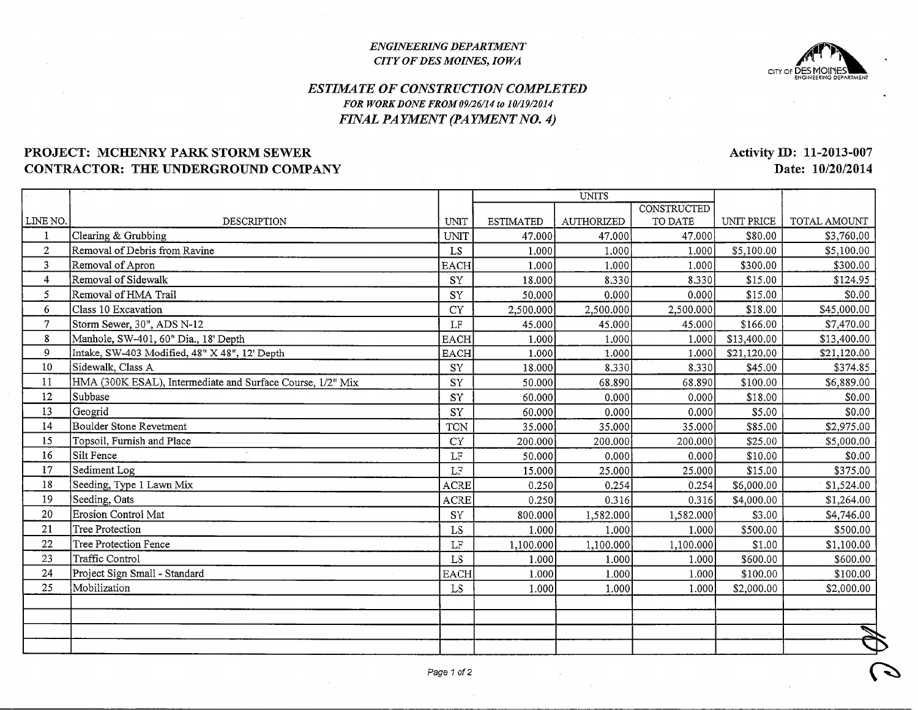#### ENGINEERING DEPARTMENTCITY OF DES MOINES, IOWA



## ESTIMATE OF CONSTRUCTION COMPLETEDFOR WORK DONE FROM 09/26/14 to 10/19/2014FINAL PAYMENT (PAYMENT NO. 4)

## PROJECT: MCHENRY PARK STORM SEWERCONTRACTOR: THE UNDERGROUND COMPANY

LINE NO.1 2 3 4 5 6 7 8 9 10 $1^{\cdot}$  12 13 14 15 16 17 18 19 20 $\overline{2}$  22 23 24 25DESCRIPTIONClearing & Grubbing Removal of Debris from RavineRemoval of Apron Removal of Sidewalk Removal of HMA TrailClass 10 Excavation Storm Sewer, 30", ADS N-12 Manhole, SW-401, 60" Dia., 18' Depth Intake, SW-403 Modified, 48" X 48", 12' DepthSidewalk, Class A HMA (300K ESAL), Intermediate and Surface Course, 1/2" MixSubbase**Geogrid**  Boulder Stone RevetmentTopsoil, Furnish and PlaceSilt Fence Sediment Log Seeding, Type 1 Lawn MixSeeding, Oats Erosion Control MatTree Protection Tree Protection FenceTraffic ControlProject Sign Small - StandardMobilizationUNIT UNIT LS EACH SY SY CY LF EACH EACH SY SY SY SY TON CY LF LFACRI ACRI SY LS LFLS. EACH LSUNITSESTIMATED 47.000) 1.0001 1.0001 18.0001 50.0001 2,500.000]45.000 1.0001 1.0001 18.000150.000 60.000]60.000 35.0001 200.0001 50.0001 15.0001 0.2501 0.2501 800.000] $\overline{1.000}$  1,100.0001 1.0001 1.0001 i.ooolAUTHORIZED47.000 1.000 1.000 8.330 0.0002,500.000 45.000 1.0001.000 8.330 68.8900.000 0.000 35.000 200.000 0.000 25.000  $0.254$  $0.316$ 1,582.000 1.0001,100.000 1.000 1.000 1.000 **CONSTRUCTED** TO DATE 47.000 1.000 1.000 8.3300.000 2,500.000 45.000 1.0001.000 8.33068.890 0.000 0.000 35.000 200.000 0.000 25.000  $0.254$  0.3161,582.000 1.00 1,100.000 $1.00$ 1.00 1.00 UNIT PRICE \$80.00\$5,100.00 \$300.00 \$15.00 \$15.00 \$18.00 \$166.00 \$13,400.00\$21,120.00 \$45.00 \$100.00\$18.00 \$5.00 \$85.00\$25.00 \$10.00 \$15.00 \$6,000.00 \$4,000.00\$3.00 \$500.00\$1.00 \$600.00 \$100.00 \$2,000.00TOTAL AMOUNT \$3,760.00 \$5,100.00 \$300.00\$124.95 \$0.00 \$45,000.00 \$7,470.00 \$13,400.00 \$21,120.00\$374.85 \$6,889.00 So.oo \$0.00\$2,975.00 \$5,000.00 \$0.00 \$375.00\$1,524.00 \$1,264.00 \$4,746.00 \$500.00 \$1,100.00 \$600.00 \$100.00 \$2,000.00:s $\overline{\phantom{a}}$ 

Activity ID: 11-2013-007Date: 10/20/2014

 $\overline{\mathcal{L}}$